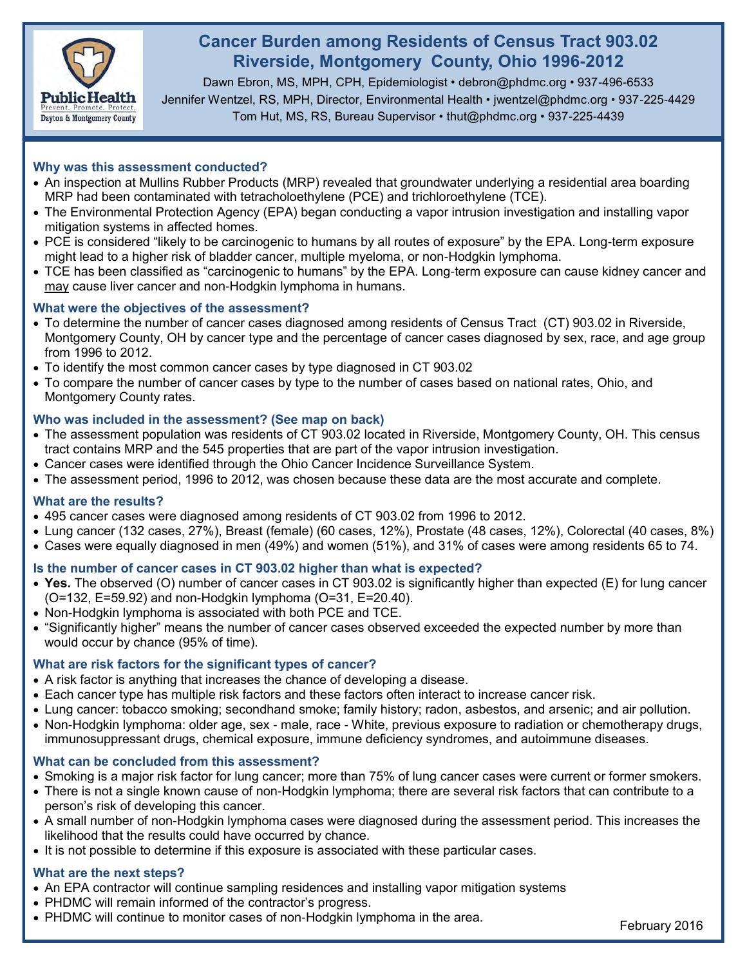

# **Cancer Burden among Residents of Census Tract 903.02 Riverside, Montgomery County, Ohio 1996-2012**

Dawn Ebron, MS, MPH, CPH, Epidemiologist • debron@phdmc.org • 937-496-6533 Jennifer Wentzel, RS, MPH, Director, Environmental Health • jwentzel@phdmc.org • 937-225-4429 Tom Hut, MS, RS, Bureau Supervisor • thut@phdmc.org • 937-225-4439

## **Why was this assessment conducted?**

- An inspection at Mullins Rubber Products (MRP) revealed that groundwater underlying a residential area boarding MRP had been contaminated with tetracholoethylene (PCE) and trichloroethylene (TCE).
- The Environmental Protection Agency (EPA) began conducting a vapor intrusion investigation and installing vapor mitigation systems in affected homes.
- PCE is considered "likely to be carcinogenic to humans by all routes of exposure" by the EPA. Long-term exposure might lead to a higher risk of bladder cancer, multiple myeloma, or non-Hodgkin lymphoma.
- TCE has been classified as "carcinogenic to humans" by the EPA. Long-term exposure can cause kidney cancer and may cause liver cancer and non-Hodgkin lymphoma in humans.

## **What were the objectives of the assessment?**

- To determine the number of cancer cases diagnosed among residents of Census Tract (CT) 903.02 in Riverside, Montgomery County, OH by cancer type and the percentage of cancer cases diagnosed by sex, race, and age group from 1996 to 2012.
- To identify the most common cancer cases by type diagnosed in CT 903.02
- To compare the number of cancer cases by type to the number of cases based on national rates, Ohio, and Montgomery County rates.

## **Who was included in the assessment? (See map on back)**

- The assessment population was residents of CT 903.02 located in Riverside, Montgomery County, OH. This census tract contains MRP and the 545 properties that are part of the vapor intrusion investigation.
- Cancer cases were identified through the Ohio Cancer Incidence Surveillance System.
- The assessment period, 1996 to 2012, was chosen because these data are the most accurate and complete.

#### **What are the results?**

- 495 cancer cases were diagnosed among residents of CT 903.02 from 1996 to 2012.
- Lung cancer (132 cases, 27%), Breast (female) (60 cases, 12%), Prostate (48 cases, 12%), Colorectal (40 cases, 8%)
- Cases were equally diagnosed in men (49%) and women (51%), and 31% of cases were among residents 65 to 74.

## **Is the number of cancer cases in CT 903.02 higher than what is expected?**

- **Yes.** The observed (O) number of cancer cases in CT 903.02 is significantly higher than expected (E) for lung cancer (O=132, E=59.92) and non-Hodgkin lymphoma (O=31, E=20.40).
- Non-Hodgkin lymphoma is associated with both PCE and TCE.
- "Significantly higher" means the number of cancer cases observed exceeded the expected number by more than would occur by chance (95% of time).

### **What are risk factors for the significant types of cancer?**

- A risk factor is anything that increases the chance of developing a disease.
- Each cancer type has multiple risk factors and these factors often interact to increase cancer risk.
- Lung cancer: tobacco smoking; secondhand smoke; family history; radon, asbestos, and arsenic; and air pollution.
- Non-Hodgkin lymphoma: older age, sex male, race White, previous exposure to radiation or chemotherapy drugs, immunosuppressant drugs, chemical exposure, immune deficiency syndromes, and autoimmune diseases.

#### **What can be concluded from this assessment?**

- Smoking is a major risk factor for lung cancer; more than 75% of lung cancer cases were current or former smokers.
- There is not a single known cause of non-Hodgkin lymphoma; there are several risk factors that can contribute to a person's risk of developing this cancer.
- A small number of non-Hodgkin lymphoma cases were diagnosed during the assessment period. This increases the likelihood that the results could have occurred by chance.
- It is not possible to determine if this exposure is associated with these particular cases.

## **What are the next steps?**

- An EPA contractor will continue sampling residences and installing vapor mitigation systems
- PHDMC will remain informed of the contractor's progress.
- PHDMC will continue to monitor cases of non-Hodgkin lymphoma in the area.